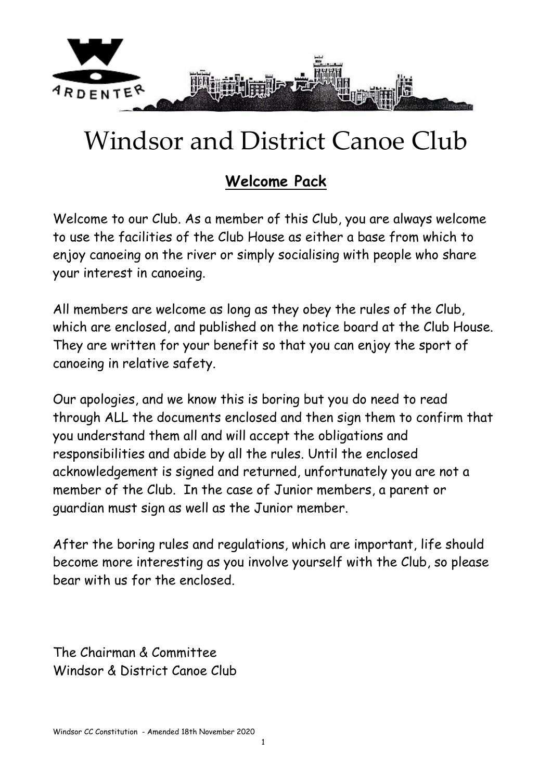

# Windsor and District Canoe Club

# **Welcome Pack**

Welcome to our Club. As a member of this Club, you are always welcome to use the facilities of the Club House as either a base from which to enjoy canoeing on the river or simply socialising with people who share your interest in canoeing.

All members are welcome as long as they obey the rules of the Club, which are enclosed, and published on the notice board at the Club House. They are written for your benefit so that you can enjoy the sport of canoeing in relative safety.

Our apologies, and we know this is boring but you do need to read through ALL the documents enclosed and then sign them to confirm that you understand them all and will accept the obligations and responsibilities and abide by all the rules. Until the enclosed acknowledgement is signed and returned, unfortunately you are not a member of the Club. In the case of Junior members, a parent or guardian must sign as well as the Junior member.

After the boring rules and regulations, which are important, life should become more interesting as you involve yourself with the Club, so please bear with us for the enclosed.

The Chairman & Committee Windsor & District Canoe Club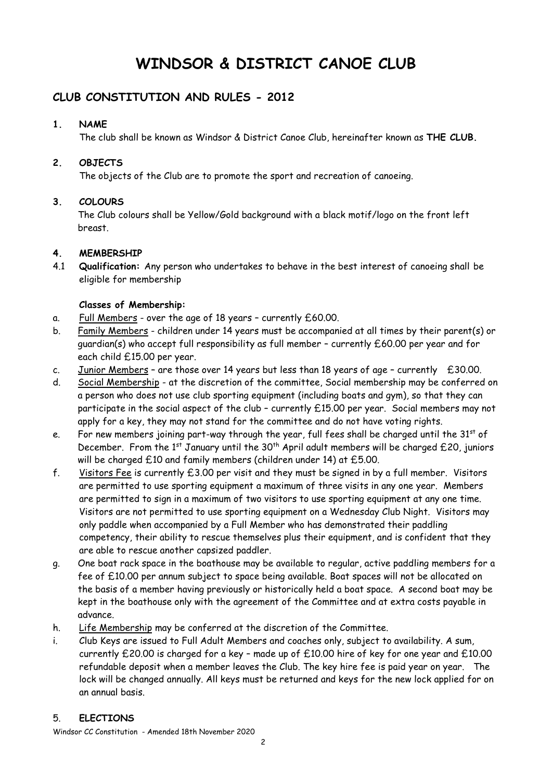# **WINDSOR & DISTRICT CANOE CLUB**

#### **CLUB CONSTITUTION AND RULES - 2012**

#### **1. NAME**

The club shall be known as Windsor & District Canoe Club, hereinafter known as **THE CLUB.**

#### **2. OBJECTS**

The objects of the Club are to promote the sport and recreation of canoeing.

#### **3. COLOURS**

The Club colours shall be Yellow/Gold background with a black motif/logo on the front left breast.

#### **4. MEMBERSHIP**

4.1 **Qualification:** Any person who undertakes to behave in the best interest of canoeing shall be eligible for membership

#### **Classes of Membership:**

- a. Full Members over the age of 18 years currently £60.00.
- b. Family Members children under 14 years must be accompanied at all times by their parent(s) or guardian(s) who accept full responsibility as full member – currently £60.00 per year and for each child £15.00 per year.
- c. Junior Members are those over 14 years but less than 18 years of age currently £30.00.
- d. Social Membership at the discretion of the committee, Social membership may be conferred on a person who does not use club sporting equipment (including boats and gym), so that they can participate in the social aspect of the club – currently £15.00 per year. Social members may not apply for a key, they may not stand for the committee and do not have voting rights.
- e. For new members joining part-way through the year, full fees shall be charged until the 31<sup>st</sup> of December. From the 1st January until the  $30<sup>th</sup>$  April adult members will be charged £20, juniors will be charged £10 and family members (children under 14) at £5.00.
- f. Visitors Fee is currently £3.00 per visit and they must be signed in by a full member. Visitors are permitted to use sporting equipment a maximum of three visits in any one year. Members are permitted to sign in a maximum of two visitors to use sporting equipment at any one time. Visitors are not permitted to use sporting equipment on a Wednesday Club Night. Visitors may only paddle when accompanied by a Full Member who has demonstrated their paddling competency, their ability to rescue themselves plus their equipment, and is confident that they are able to rescue another capsized paddler.
- g. One boat rack space in the boathouse may be available to regular, active paddling members for a fee of £10.00 per annum subject to space being available. Boat spaces will not be allocated on the basis of a member having previously or historically held a boat space. A second boat may be kept in the boathouse only with the agreement of the Committee and at extra costs payable in advance.
- h. Life Membership may be conferred at the discretion of the Committee.
- i. Club Keys are issued to Full Adult Members and coaches only, subject to availability. A sum, currently £20.00 is charged for a key – made up of £10.00 hire of key for one year and £10.00 refundable deposit when a member leaves the Club. The key hire fee is paid year on year. The lock will be changed annually. All keys must be returned and keys for the new lock applied for on an annual basis.

#### 5. **ELECTIONS**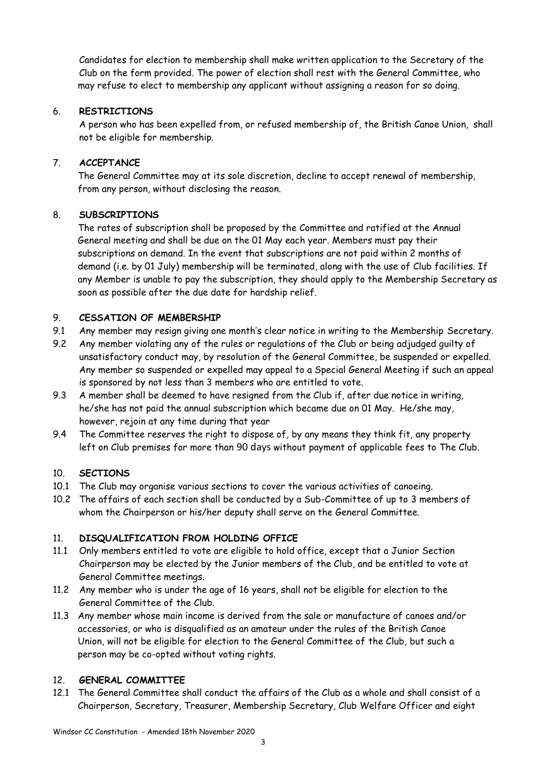Candidates for election to membership shall make written application to the Secretary of the Club on the form provided. The power of election shall rest with the General Committee, who may refuse to elect to membership any applicant without assigning a reason for so doing.

#### 6. **RESTRICTIONS**

A person who has been expelled from, or refused membership of, the British Canoe Union, shall not be eligible for membership.

#### 7. **ACCEPTANCE**

The General Committee may at its sole discretion, decline to accept renewal of membership, from any person, without disclosing the reason.

#### 8. **SUBSCRIPTIONS**

The rates of subscription shall be proposed by the Committee and ratified at the Annual General meeting and shall be due on the 01 May each year. Members must pay their subscriptions on demand. In the event that subscriptions are not paid within 2 months of demand (i.e. by 01 July) membership will be terminated, along with the use of Club facilities. If any Member is unable to pay the subscription, they should apply to the Membership Secretary as soon as possible after the due date for hardship relief.

#### 9. **CESSATION OF MEMBERSHIP**

- 9.1 Any member may resign giving one month's clear notice in writing to the Membership Secretary.
- 9.2 Any member violating any of the rules or regulations of the Club or being adjudged guilty of unsatisfactory conduct may, by resolution of the General Committee, be suspended or expelled. Any member so suspended or expelled may appeal to a Special General Meeting if such an appeal is sponsored by not less than 3 members who are entitled to vote.
- 9.3 A member shall be deemed to have resigned from the Club if, after due notice in writing, he/she has not paid the annual subscription which became due on 01 May. He/she may, however, rejoin at any time during that year
- 9.4 The Committee reserves the right to dispose of, by any means they think fit, any property left on Club premises for more than 90 days without payment of applicable fees to The Club.

#### 10. **SECTIONS**

- 10.1 The Club may organise various sections to cover the various activities of canoeing.
- 10.2 The affairs of each section shall be conducted by a Sub-Committee of up to 3 members of whom the Chairperson or his/her deputy shall serve on the General Committee.

#### 11. **DISQUALIFICATION FROM HOLDING OFFICE**

- 11.1 Only members entitled to vote are eligible to hold office, except that a Junior Section Chairperson may be elected by the Junior members of the Club, and be entitled to vote at General Committee meetings.
- 11.2 Any member who is under the age of 16 years, shall not be eligible for election to the General Committee of the Club.
- 11.3 Any member whose main income is derived from the sale or manufacture of canoes and/or accessories, or who is disqualified as an amateur under the rules of the British Canoe Union, will not be eligible for election to the General Committee of the Club, but such a person may be co-opted without voting rights.

#### 12. **GENERAL COMMITTEE**

12.1 The General Committee shall conduct the affairs of the Club as a whole and shall consist of a Chairperson, Secretary, Treasurer, Membership Secretary, Club Welfare Officer and eight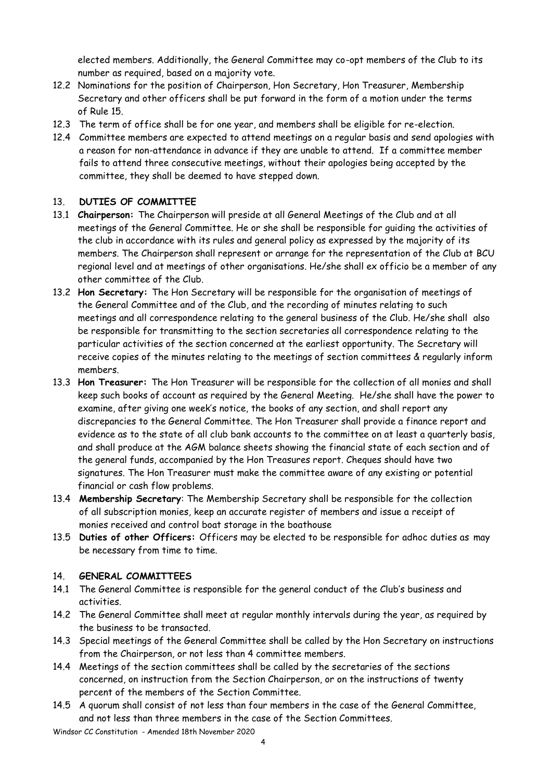elected members. Additionally, the General Committee may co-opt members of the Club to its number as required, based on a majority vote.

- 12.2 Nominations for the position of Chairperson, Hon Secretary, Hon Treasurer, Membership Secretary and other officers shall be put forward in the form of a motion under the terms of Rule 15.
- 12.3 The term of office shall be for one year, and members shall be eligible for re-election.
- 12.4 Committee members are expected to attend meetings on a regular basis and send apologies with a reason for non-attendance in advance if they are unable to attend. If a committee member fails to attend three consecutive meetings, without their apologies being accepted by the committee, they shall be deemed to have stepped down.

#### 13. **DUTIES OF COMMITTEE**

- 13.1 **Chairperson:** The Chairperson will preside at all General Meetings of the Club and at all meetings of the General Committee. He or she shall be responsible for guiding the activities of the club in accordance with its rules and general policy as expressed by the majority of its members. The Chairperson shall represent or arrange for the representation of the Club at BCU regional level and at meetings of other organisations. He/she shall ex officio be a member of any other committee of the Club.
- 13.2 **Hon Secretary:** The Hon Secretary will be responsible for the organisation of meetings of the General Committee and of the Club, and the recording of minutes relating to such meetings and all correspondence relating to the general business of the Club. He/she shall also be responsible for transmitting to the section secretaries all correspondence relating to the particular activities of the section concerned at the earliest opportunity. The Secretary will receive copies of the minutes relating to the meetings of section committees & regularly inform members.
- 13.3 **Hon Treasurer:** The Hon Treasurer will be responsible for the collection of all monies and shall keep such books of account as required by the General Meeting. He/she shall have the power to examine, after giving one week's notice, the books of any section, and shall report any discrepancies to the General Committee. The Hon Treasurer shall provide a finance report and evidence as to the state of all club bank accounts to the committee on at least a quarterly basis, and shall produce at the AGM balance sheets showing the financial state of each section and of the general funds, accompanied by the Hon Treasures report. Cheques should have two signatures. The Hon Treasurer must make the committee aware of any existing or potential financial or cash flow problems.
- 13.4 **Membership Secretary**: The Membership Secretary shall be responsible for the collection of all subscription monies, keep an accurate register of members and issue a receipt of monies received and control boat storage in the boathouse
- 13.5 **Duties of other Officers:** Officers may be elected to be responsible for adhoc duties as may be necessary from time to time.

#### 14. **GENERAL COMMITTEES**

- 14.1 The General Committee is responsible for the general conduct of the Club's business and activities.
- 14.2 The General Committee shall meet at regular monthly intervals during the year, as required by the business to be transacted.
- 14.3 Special meetings of the General Committee shall be called by the Hon Secretary on instructions from the Chairperson, or not less than 4 committee members.
- 14.4 Meetings of the section committees shall be called by the secretaries of the sections concerned, on instruction from the Section Chairperson, or on the instructions of twenty percent of the members of the Section Committee.
- 14.5 A quorum shall consist of not less than four members in the case of the General Committee, and not less than three members in the case of the Section Committees.

Windsor CC Constitution - Amended 18th November 2020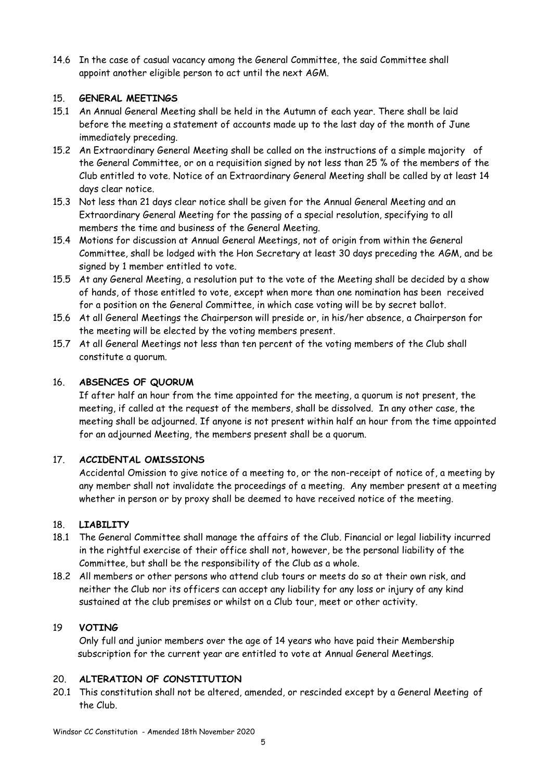14.6 In the case of casual vacancy among the General Committee, the said Committee shall appoint another eligible person to act until the next AGM.

#### 15. **GENERAL MEETINGS**

- 15.1 An Annual General Meeting shall be held in the Autumn of each year. There shall be laid before the meeting a statement of accounts made up to the last day of the month of June immediately preceding.
- 15.2 An Extraordinary General Meeting shall be called on the instructions of a simple majority of the General Committee, or on a requisition signed by not less than 25 % of the members of the Club entitled to vote. Notice of an Extraordinary General Meeting shall be called by at least 14 days clear notice.
- 15.3 Not less than 21 days clear notice shall be given for the Annual General Meeting and an Extraordinary General Meeting for the passing of a special resolution, specifying to all members the time and business of the General Meeting.
- 15.4 Motions for discussion at Annual General Meetings, not of origin from within the General Committee, shall be lodged with the Hon Secretary at least 30 days preceding the AGM, and be signed by 1 member entitled to vote.
- 15.5 At any General Meeting, a resolution put to the vote of the Meeting shall be decided by a show of hands, of those entitled to vote, except when more than one nomination has been received for a position on the General Committee, in which case voting will be by secret ballot.
- 15.6 At all General Meetings the Chairperson will preside or, in his/her absence, a Chairperson for the meeting will be elected by the voting members present.
- 15.7 At all General Meetings not less than ten percent of the voting members of the Club shall constitute a quorum.

#### 16. **ABSENCES OF QUORUM**

If after half an hour from the time appointed for the meeting, a quorum is not present, the meeting, if called at the request of the members, shall be dissolved. In any other case, the meeting shall be adjourned. If anyone is not present within half an hour from the time appointed for an adjourned Meeting, the members present shall be a quorum.

#### 17. **ACCIDENTAL OMISSIONS**

Accidental Omission to give notice of a meeting to, or the non-receipt of notice of, a meeting by any member shall not invalidate the proceedings of a meeting. Any member present at a meeting whether in person or by proxy shall be deemed to have received notice of the meeting.

#### 18. **LIABILITY**

- 18.1 The General Committee shall manage the affairs of the Club. Financial or legal liability incurred in the rightful exercise of their office shall not, however, be the personal liability of the Committee, but shall be the responsibility of the Club as a whole.
- 18.2 All members or other persons who attend club tours or meets do so at their own risk, and neither the Club nor its officers can accept any liability for any loss or injury of any kind sustained at the club premises or whilst on a Club tour, meet or other activity.

#### 19 **VOTING**

Only full and junior members over the age of 14 years who have paid their Membership subscription for the current year are entitled to vote at Annual General Meetings.

#### 20. **ALTERATION OF CONSTITUTION**

20.1 This constitution shall not be altered, amended, or rescinded except by a General Meeting of the Club.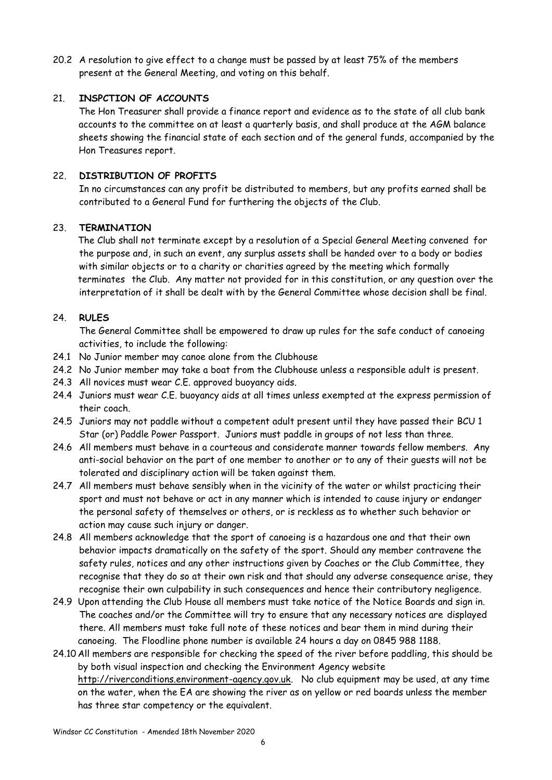20.2 A resolution to give effect to a change must be passed by at least 75% of the members present at the General Meeting, and voting on this behalf.

#### 21. **INSPCTION OF ACCOUNTS**

The Hon Treasurer shall provide a finance report and evidence as to the state of all club bank accounts to the committee on at least a quarterly basis, and shall produce at the AGM balance sheets showing the financial state of each section and of the general funds, accompanied by the Hon Treasures report.

#### 22. **DISTRIBUTION OF PROFITS**

In no circumstances can any profit be distributed to members, but any profits earned shall be contributed to a General Fund for furthering the objects of the Club.

#### 23. **TERMINATION**

The Club shall not terminate except by a resolution of a Special General Meeting convened for the purpose and, in such an event, any surplus assets shall be handed over to a body or bodies with similar objects or to a charity or charities agreed by the meeting which formally terminates the Club. Any matter not provided for in this constitution, or any question over the interpretation of it shall be dealt with by the General Committee whose decision shall be final.

#### 24. **RULES**

The General Committee shall be empowered to draw up rules for the safe conduct of canoeing activities, to include the following:

- 24.1 No Junior member may canoe alone from the Clubhouse
- 24.2 No Junior member may take a boat from the Clubhouse unless a responsible adult is present.
- 24.3 All novices must wear C.E. approved buoyancy aids.
- 24.4 Juniors must wear C.E. buoyancy aids at all times unless exempted at the express permission of their coach.
- 24.5 Juniors may not paddle without a competent adult present until they have passed their BCU 1 Star (or) Paddle Power Passport. Juniors must paddle in groups of not less than three.
- 24.6 All members must behave in a courteous and considerate manner towards fellow members. Any anti-social behavior on the part of one member to another or to any of their guests will not be tolerated and disciplinary action will be taken against them.
- 24.7 All members must behave sensibly when in the vicinity of the water or whilst practicing their sport and must not behave or act in any manner which is intended to cause injury or endanger the personal safety of themselves or others, or is reckless as to whether such behavior or action may cause such injury or danger.
- 24.8 All members acknowledge that the sport of canoeing is a hazardous one and that their own behavior impacts dramatically on the safety of the sport. Should any member contravene the safety rules, notices and any other instructions given by Coaches or the Club Committee, they recognise that they do so at their own risk and that should any adverse consequence arise, they recognise their own culpability in such consequences and hence their contributory negligence.
- 24.9 Upon attending the Club House all members must take notice of the Notice Boards and sign in. The coaches and/or the Committee will try to ensure that any necessary notices are displayed there. All members must take full note of these notices and bear them in mind during their canoeing. The Floodline phone number is available 24 hours a day on 0845 988 1188.
- 24.10 All members are responsible for checking the speed of the river before paddling, this should be by both visual inspection and checking the Environment Agency website [http://riverconditions.environment-agency.gov.uk.](http://riverconditions.environment-agency.gov.uk/) No club equipment may be used, at any time on the water, when the EA are showing the river as on yellow or red boards unless the member has three star competency or the equivalent.

Windsor CC Constitution - Amended 18th November 2020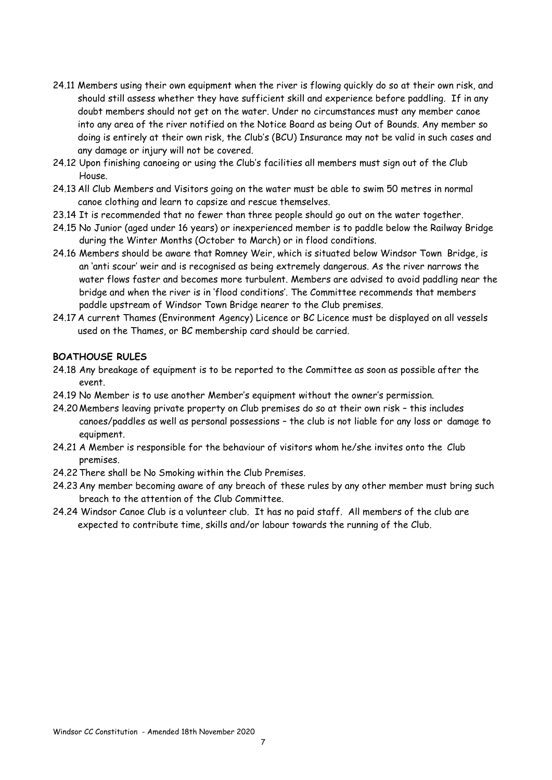- 24.11 Members using their own equipment when the river is flowing quickly do so at their own risk, and should still assess whether they have sufficient skill and experience before paddling. If in any doubt members should not get on the water. Under no circumstances must any member canoe into any area of the river notified on the Notice Board as being Out of Bounds. Any member so doing is entirely at their own risk, the Club's (BCU) Insurance may not be valid in such cases and any damage or injury will not be covered.
- 24.12 Upon finishing canoeing or using the Club's facilities all members must sign out of the Club House.
- 24.13 All Club Members and Visitors going on the water must be able to swim 50 metres in normal canoe clothing and learn to capsize and rescue themselves.
- 23.14 It is recommended that no fewer than three people should go out on the water together.
- 24.15 No Junior (aged under 16 years) or inexperienced member is to paddle below the Railway Bridge during the Winter Months (October to March) or in flood conditions.
- 24.16 Members should be aware that Romney Weir, which is situated below Windsor Town Bridge, is an 'anti scour' weir and is recognised as being extremely dangerous. As the river narrows the water flows faster and becomes more turbulent. Members are advised to avoid paddling near the bridge and when the river is in 'flood conditions'. The Committee recommends that members paddle upstream of Windsor Town Bridge nearer to the Club premises.
- 24.17 A current Thames (Environment Agency) Licence or BC Licence must be displayed on all vessels used on the Thames, or BC membership card should be carried.

#### **BOATHOUSE RULES**

- 24.18 Any breakage of equipment is to be reported to the Committee as soon as possible after the event.
- 24.19 No Member is to use another Member's equipment without the owner's permission.
- 24.20Members leaving private property on Club premises do so at their own risk this includes canoes/paddles as well as personal possessions – the club is not liable for any loss or damage to equipment.
- 24.21 A Member is responsible for the behaviour of visitors whom he/she invites onto the Club premises.
- 24.22There shall be No Smoking within the Club Premises.
- 24.23Any member becoming aware of any breach of these rules by any other member must bring such breach to the attention of the Club Committee.
- 24.24 Windsor Canoe Club is a volunteer club. It has no paid staff. All members of the club are expected to contribute time, skills and/or labour towards the running of the Club.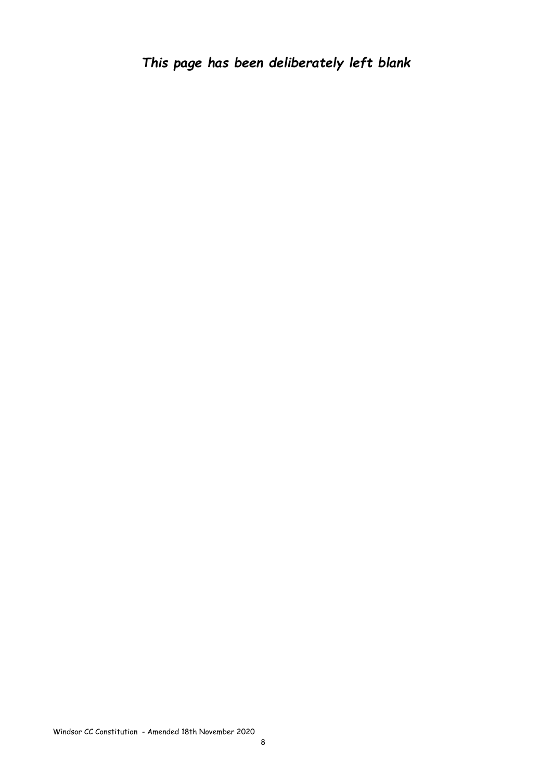*This page has been deliberately left blank*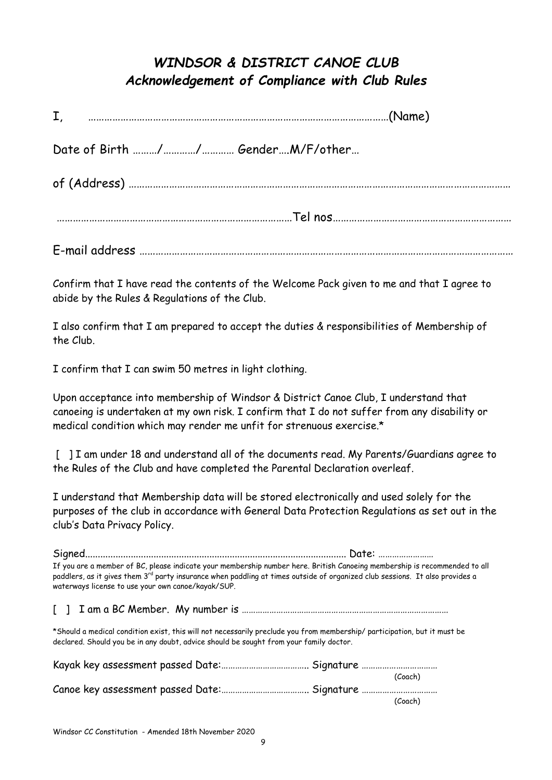## *WINDSOR & DISTRICT CANOE CLUB Acknowledgement of Compliance with Club Rules*

| $I,$ $\ldots$ $\ldots$ $\ldots$ $\ldots$ $\ldots$ $\ldots$ $\ldots$ $\ldots$ $\ldots$ $\ldots$ $\ldots$ $\ldots$ $\ldots$ $\ldots$ $\ldots$ $\ldots$ $\ldots$ $\ldots$ $\ldots$ $\ldots$ $\ldots$ $\ldots$ $\ldots$ $\ldots$ $\ldots$ $\ldots$ $\ldots$ $\ldots$ $\ldots$ $\ldots$ $\ldots$ $\ldots$ $\ldots$ $\ldots$ $\ldots$ $\ldots$ |  |
|------------------------------------------------------------------------------------------------------------------------------------------------------------------------------------------------------------------------------------------------------------------------------------------------------------------------------------------|--|
| Date of Birth / /  Gender  M/F/other                                                                                                                                                                                                                                                                                                     |  |
|                                                                                                                                                                                                                                                                                                                                          |  |
|                                                                                                                                                                                                                                                                                                                                          |  |
|                                                                                                                                                                                                                                                                                                                                          |  |

E-mail address …………………………………………………………………………………………………………………………

Confirm that I have read the contents of the Welcome Pack given to me and that I agree to abide by the Rules & Regulations of the Club.

I also confirm that I am prepared to accept the duties & responsibilities of Membership of the Club.

I confirm that I can swim 50 metres in light clothing.

Upon acceptance into membership of Windsor & District Canoe Club, I understand that canoeing is undertaken at my own risk. I confirm that I do not suffer from any disability or medical condition which may render me unfit for strenuous exercise.\*

[ ] I am under 18 and understand all of the documents read. My Parents/Guardians agree to the Rules of the Club and have completed the Parental Declaration overleaf.

I understand that Membership data will be stored electronically and used solely for the purposes of the club in accordance with General Data Protection Regulations as set out in the club's Data Privacy Policy.

| waterways license to use your own canoe/kayak/SUP. |  | If you are a member of BC, please indicate your membership number here. British Canoeing membership is recommended to all<br>paddlers, as it gives them 3 <sup>rd</sup> party insurance when paddling at times outside of organized club sessions. It also provides a |
|----------------------------------------------------|--|-----------------------------------------------------------------------------------------------------------------------------------------------------------------------------------------------------------------------------------------------------------------------|
|                                                    |  |                                                                                                                                                                                                                                                                       |

\*Should a medical condition exist, this will not necessarily preclude you from membership/ participation, but it must be declared. Should you be in any doubt, advice should be sought from your family doctor.

|  | (Coach) |
|--|---------|
|  |         |
|  | (Coach) |